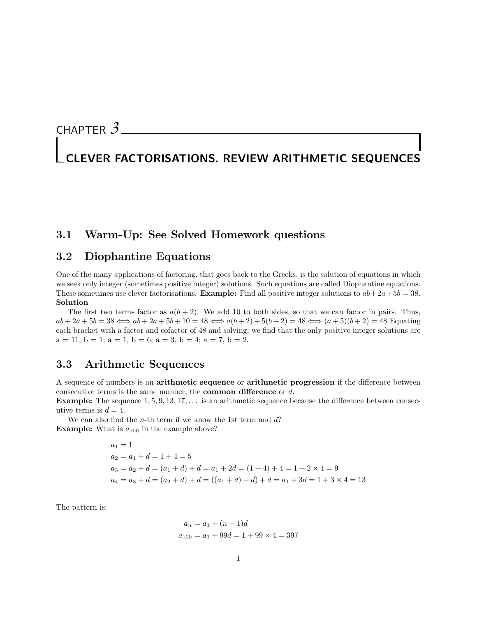# CHAPTER *3*

# CLEVER FACTORISATIONS. REVIEW ARITHMETIC SEQUENCES

# 3.1 Warm-Up: See Solved Homework questions

# 3.2 Diophantine Equations

One of the many applications of factoring, that goes back to the Greeks, is the solution of equations in which we seek only integer (sometimes positive integer) solutions. Such equations are called Diophantine equations. These sometimes use clever factorisations. **Example:** Find all positive integer solutions to  $ab+2a+5b=38$ . Solution

The first two terms factor as  $a(b+2)$ . We add 10 to both sides, so that we can factor in pairs. Thus,  $ab + 2a + 5b = 38 \iff ab + 2a + 5b + 10 = 48 \iff a(b+2) + 5(b+2) = 48 \iff (a+5)(b+2) = 48$  Equating each bracket with a factor and cofactor of 48 and solving, we find that the only positive integer solutions are  $a = 11$ ,  $b = 1$ ;  $a = 1$ ,  $b = 6$ ;  $a = 3$ ,  $b = 4$ ;  $a = 7$ ,  $b = 2$ .

#### 3.3 Arithmetic Sequences

A sequence of numbers is an arithmetic sequence or arithmetic progression if the difference between consecutive terms is the same number, the common difference or d.

**Example:** The sequence  $1, 5, 9, 13, 17, \ldots$  is an arithmetic sequence because the difference between consecutive terms is  $d = 4$ .

We can also find the  $n$ -th term if we know the 1st term and  $d$ ? **Example:** What is  $a_{100}$  in the example above?

$$
a_1 = 1
$$
  
\n
$$
a_2 = a_1 + d = 1 + 4 = 5
$$
  
\n
$$
a_3 = a_2 + d = (a_1 + d) + d = a_1 + 2d = (1 + 4) + 4 = 1 + 2 \times 4 = 9
$$
  
\n
$$
a_4 = a_3 + d = (a_2 + d) + d = ((a_1 + d) + d) + d = a_1 + 3d = 1 + 3 \times 4 = 13
$$

The pattern is:

$$
a_n = a_1 + (n - 1)d
$$
  

$$
a_{100} = a_1 + 99d = 1 + 99 \times 4 = 397
$$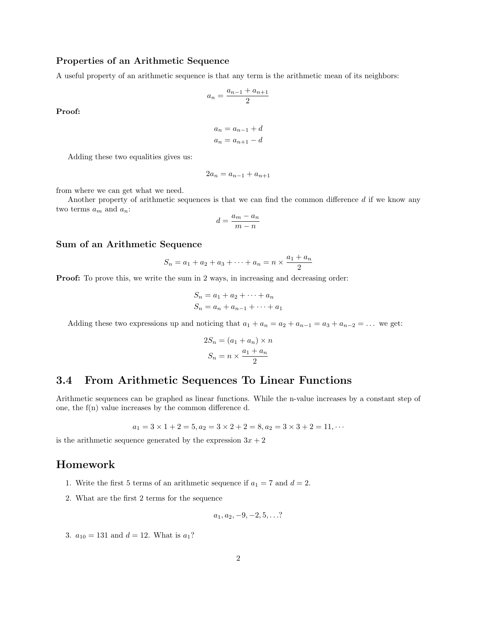#### Properties of an Arithmetic Sequence

A useful property of an arithmetic sequence is that any term is the arithmetic mean of its neighbors:

$$
a_n = \frac{a_{n-1} + a_{n+1}}{2}
$$

Proof:

$$
a_n = a_{n-1} + d
$$

$$
a_n = a_{n+1} - d
$$

Adding these two equalities gives us:

$$
2a_n = a_{n-1} + a_{n+1}
$$

from where we can get what we need.

Another property of arithmetic sequences is that we can find the common difference d if we know any two terms  $a_m$  and  $a_n$ :

$$
d = \frac{a_m - a_n}{m - n}
$$

#### Sum of an Arithmetic Sequence

$$
S_n = a_1 + a_2 + a_3 + \dots + a_n = n \times \frac{a_1 + a_n}{2}
$$

**Proof:** To prove this, we write the sum in 2 ways, in increasing and decreasing order:

$$
S_n = a_1 + a_2 + \dots + a_n
$$
  

$$
S_n = a_n + a_{n-1} + \dots + a_1
$$

Adding these two expressions up and noticing that  $a_1 + a_n = a_2 + a_{n-1} = a_3 + a_{n-2} = \dots$  we get:

$$
2S_n = (a_1 + a_n) \times n
$$

$$
S_n = n \times \frac{a_1 + a_n}{2}
$$

# 3.4 From Arithmetic Sequences To Linear Functions

Arithmetic sequences can be graphed as linear functions. While the n-value increases by a constant step of one, the f(n) value increases by the common difference d.

$$
a_1 = 3 \times 1 + 2 = 5, a_2 = 3 \times 2 + 2 = 8, a_2 = 3 \times 3 + 2 = 11, \cdots
$$

is the arithmetic sequence generated by the expression  $3x + 2$ 

### Homework

- 1. Write the first 5 terms of an arithmetic sequence if  $a_1 = 7$  and  $d = 2$ .
- 2. What are the first 2 terms for the sequence

$$
a_1, a_2, -9, -2, 5, \ldots
$$
?

3.  $a_{10} = 131$  and  $d = 12$ . What is  $a_1$ ?